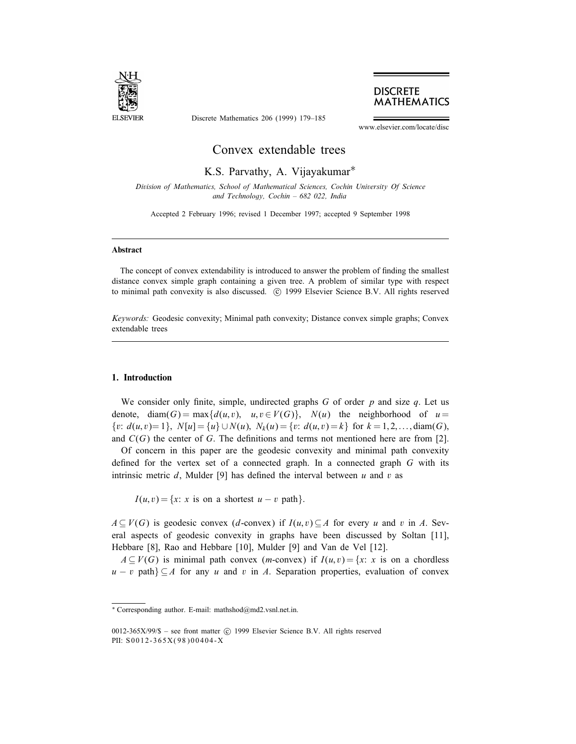

Discrete Mathematics 206 (1999) 179–185



www.elsevier.com/locate/disc

# Convex extendable trees

K.S. Parvathy, A. Vijayakumar<sup>\*</sup>

Division of Mathematics, School of Mathematical Sciences, Cochin University Of Science and Technology, Cochin – 682 022, India

Accepted 2 February 1996; revised 1 December 1997; accepted 9 September 1998

#### Abstract

The concept of convex extendability is introduced to answer the problem of finding the smallest distance convex simple graph containing a given tree. A problem of similar type with respect to minimal path convexity is also discussed. © 1999 Elsevier Science B.V. All rights reserved

Keywords: Geodesic convexity; Minimal path convexity; Distance convex simple graphs; Convex extendable trees

#### 1. Introduction

We consider only finite, simple, undirected graphs  $G$  of order  $p$  and size  $q$ . Let us denote, diam(G) = max $\{d(u, v), u, v \in V(G)\}$ ,  $N(u)$  the neighborhood of  $u =$  $\{v: d(u, v) = 1\}, N[u] = \{u\} \cup N(u), N_k(u) = \{v: d(u, v) = k\}$  for  $k = 1, 2, \ldots$ , diam(G), and  $C(G)$  the center of G. The definitions and terms not mentioned here are from [2].

Of concern in this paper are the geodesic convexity and minimal path convexity defined for the vertex set of a connected graph. In a connected graph  $G$  with its intrinsic metric  $d$ , Mulder [9] has defined the interval between  $u$  and  $v$  as

 $I(u, v) = \{x: x \text{ is on a shortest } u - v \text{ path}\}.$ 

 $A \subseteq V(G)$  is geodesic convex (d-convex) if  $I(u, v) \subseteq A$  for every u and v in A. Several aspects of geodesic convexity in graphs have been discussed by Soltan [11], Hebbare [8], Rao and Hebbare [10], Mulder [9] and Van de Vel [12].

 $A \subseteq V(G)$  is minimal path convex (*m*-convex) if  $I(u, v) = \{x : x \text{ is on a chordless }$  $u - v$  path $\geq A$  for any u and v in A. Separation properties, evaluation of convex

<sup>∗</sup> Corresponding author. E-mail: mathshod@md2.vsnl.net.in.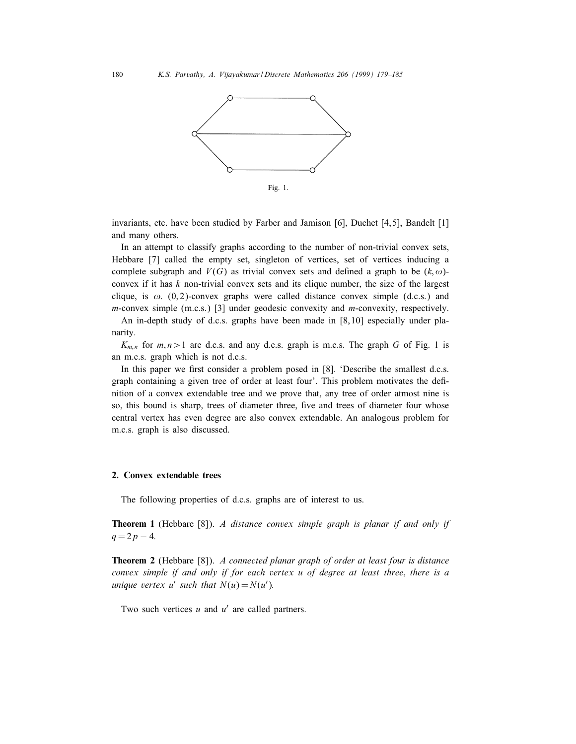

Fig. 1.

invariants, etc. have been studied by Farber and Jamison  $[6]$ , Duchet  $[4,5]$ , Bandelt  $[1]$ and many others.

In an attempt to classify graphs according to the number of non-trivial convex sets, Hebbare [7] called the empty set, singleton of vertices, set of vertices inducing a complete subgraph and  $V(G)$  as trivial convex sets and defined a graph to be  $(k, \omega)$ convex if it has  $k$  non-trivial convex sets and its clique number, the size of the largest clique, is  $\omega$ . (0,2)-convex graphs were called distance convex simple (d.c.s.) and m-convex simple (m.c.s.) [3] under geodesic convexity and m-convexity, respectively.

An in-depth study of d.c.s. graphs have been made in [8, 10] especially under planarity.

 $K_{m,n}$  for  $m, n > 1$  are d.c.s. and any d.c.s. graph is m.c.s. The graph G of Fig. 1 is an m.c.s. graph which is not d.c.s.

In this paper we first consider a problem posed in  $[8]$ . 'Describe the smallest d.c.s. graph containing a given tree of order at least four'. This problem motivates the definition of a convex extendable tree and we prove that, any tree of order atmost nine is so, this bound is sharp, trees of diameter three, five and trees of diameter four whose central vertex has even degree are also convex extendable. An analogous problem for m.c.s. graph is also discussed.

#### 2. Convex extendable trees

The following properties of d.c.s. graphs are of interest to us.

**Theorem 1** (Hebbare [8]). A distance convex simple graph is planar if and only if  $q = 2p - 4.$ 

**Theorem 2** (Hebbare [8]). A connected planar graph of order at least four is distance convex simple if and only if for each vertex u of degree at least three; there is a unique vertex u' such that  $N(u) = N(u')$ .

Two such vertices  $u$  and  $u'$  are called partners.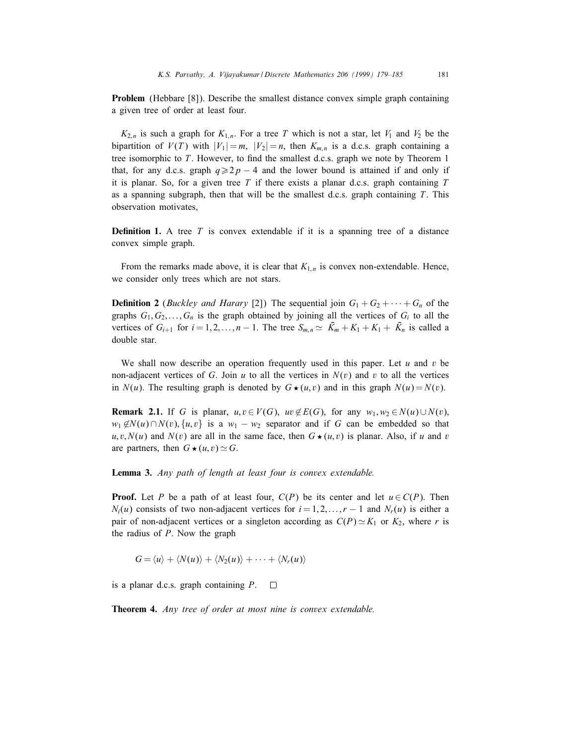Problem (Hebbare [8]). Describe the smallest distance convex simple graph containing a given tree of order at least four.

 $K_{2,n}$  is such a graph for  $K_{1,n}$ . For a tree T which is not a star, let  $V_1$  and  $V_2$  be the bipartition of  $V(T)$  with  $|V_1| = m$ ,  $|V_2| = n$ , then  $K_{m,n}$  is a d.c.s. graph containing a tree isomorphic to  $T$ . However, to find the smallest d.c.s. graph we note by Theorem 1 that, for any d.c.s. graph  $q \ge 2p - 4$  and the lower bound is attained if and only if it is planar. So, for a given tree T if there exists a planar d.c.s. graph containing  $T$ as a spanning subgraph, then that will be the smallest d.c.s. graph containing  $T$ . This observation motivates,

**Definition 1.** A tree T is convex extendable if it is a spanning tree of a distance convex simple graph.

From the remarks made above, it is clear that  $K_{1,n}$  is convex non-extendable. Hence, we consider only trees which are not stars.

**Definition 2** (*Buckley and Harary* [2]) The sequential join  $G_1 + G_2 + \cdots + G_n$  of the graphs  $G_1, G_2, \ldots, G_n$  is the graph obtained by joining all the vertices of  $G_i$  to all the vertices of  $G_{i+1}$  for  $i = 1, 2, ..., n - 1$ . The tree  $S_{m,n} \simeq \overline{K}_m + K_1 + K_1 + \overline{K}_n$  is called a double star.

We shall now describe an operation frequently used in this paper. Let u and v be non-adjacent vertices of G. Join u to all the vertices in  $N(v)$  and v to all the vertices in  $N(u)$ . The resulting graph is denoted by  $G \star (u, v)$  and in this graph  $N(u) = N(v)$ .

**Remark 2.1.** If G is planar,  $u, v \in V(G)$ ,  $uv \notin E(G)$ , for any  $w_1, w_2 \in N(u) \cup N(v)$ ,  $w_1 \notin N(u) \cap N(v)$ , {u, v} is a  $w_1 - w_2$  separator and if G can be embedded so that  $u, v, N(u)$  and  $N(v)$  are all in the same face, then  $G \star (u, v)$  is planar. Also, if u and v are partners, then  $G \star (u, v) \simeq G$ .

Lemma 3. Any path of length at least four is convex extendable.

**Proof.** Let P be a path of at least four,  $C(P)$  be its center and let  $u \in C(P)$ . Then  $N_i(u)$  consists of two non-adjacent vertices for  $i = 1, 2, ..., r - 1$  and  $N_r(u)$  is either a pair of non-adjacent vertices or a singleton according as  $C(P) \simeq K_1$  or  $K_2$ , where r is the radius of  $P$ . Now the graph

 $G = \langle u \rangle + \langle N(u) \rangle + \langle N_2(u) \rangle + \cdots + \langle N_r(u) \rangle$ 

is a planar d.c.s. graph containing  $P$ .  $\Box$ 

**Theorem 4.** Any tree of order at most nine is convex extendable.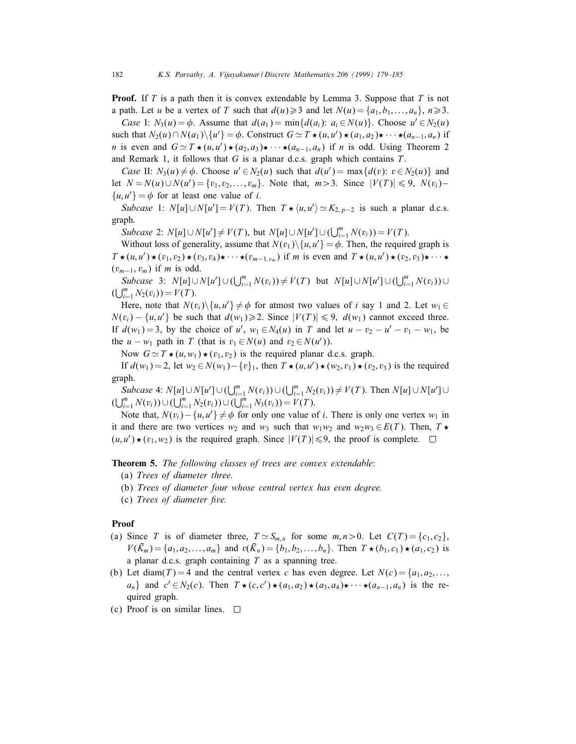**Proof.** If T is a path then it is convex extendable by Lemma 3. Suppose that T is not a path. Let u be a vertex of T such that  $d(u) \geq 3$  and let  $N(u) = \{a_1, b_1, \ldots, a_n\}, n \geq 3$ .

Case I:  $N_3(u) = \phi$ . Assume that  $d(a_1) = \min\{d(a_i): a_i \in N(u)\}\)$ . Choose  $u' \in N_2(u)$ such that  $N_2(u) \cap N(a_1) \setminus \{u'\} = \phi$ . Construct  $G \simeq T \star (u, u') \star (a_1, a_2) \star \cdots \star (a_{n-1}, a_n)$  if *n* is even and  $G \simeq T \star (u, u') \star (a_2, a_3) \star \cdots \star (a_{n-1}, a_n)$  if *n* is odd. Using Theorem 2 and Remark 1, it follows that  $G$  is a planar d.c.s. graph which contains  $T$ .

Case II:  $N_3(u) \neq \phi$ . Choose  $u' \in N_2(u)$  such that  $d(u') = \max\{d(v): v \in N_2(u)\}\$  and let  $N = N(u) \cup N(u') = \{v_1, v_2, \dots, v_m\}$ . Note that,  $m > 3$ . Since  $|V(T)| \le 9$ ,  $N(v_i)$  $\{u, u'\} = \phi$  for at least one value of *i*.

Subcase 1:  $N[u] \cup N[u'] = V(T)$ . Then  $T \star \langle u, u' \rangle \simeq K_{2, p-2}$  is such a planar d.c.s. graph.

*Subcase* 2:  $N[u] \cup N[u'] \neq V(T)$ , but  $N[u] \cup N[u'] \cup (\bigcup_{i=1}^{m} N(v_i)) = V(T)$ .

Without loss of generality, assume that  $N(v_1)\setminus\{u, u'\} = \phi$ . Then, the required graph is  $T \star (u, u') \star (v_1, v_2) \star (v_3, v_4) \star \cdots \star (v_{m-1, v_m})$  if m is even and  $T \star (u, u') \star (v_2, v_3) \star \cdots \star$  $(v_{m-1}, v_m)$  if m is odd.

Subcase 3:  $N[u] \cup N[u'] \cup (\bigcup_{i=1}^{m} N(v_i)) \neq V(T)$  but  $N[u] \cup N[u'] \cup (\bigcup_{i=1}^{m} N(v_i)) \cup$  $(\bigcup_{i=1}^{m} N_2(v_i)) = V(T).$ 

Here, note that  $N(v_i)\backslash\{u, u'\}\neq\phi$  for atmost two values of i say 1 and 2. Let  $w_1 \in$  $N(v_i) - \{u, u'\}$  be such that  $d(w_1) \ge 2$ . Since  $|V(T)| \le 9$ ,  $d(w_1)$  cannot exceed three. If  $d(w_1) = 3$ , by the choice of u',  $w_1 \in N_4(u)$  in T and let  $u - v_2 - u' - v_1 - w_1$ , be the  $u - w_1$  path in T (that is  $v_1 \in N(u)$  and  $v_2 \in N(u')$ ).

Now  $G \simeq T \star (u, w_1) \star (v_1, v_2)$  is the required planar d.c.s. graph.

If  $d(w_1) = 2$ , let  $w_2 \in N(w_1) - \{v\}_1$ , then  $T \star (u, u') \star (w_2, v_1) \star (v_2, v_3)$  is the required graph.

*Subcase* 4:  $N[u] \cup N[u'] \cup (\bigcup_{i=1}^{m} N(v_i)) \cup (\bigcup_{i=1}^{m} N_2(v_i)) \neq V(T)$ . Then  $N[u] \cup N[u'] \cup N[u]$  $(\bigcup_{i=1}^{m} N(v_i)) \cup (\bigcup_{i=1}^{m} N_2(v_i)) \cup (\bigcup_{i=1}^{m} N_3(v_i)) = V(T).$ 

Note that,  $N(v_i) - \{u, u'\} \neq \phi$  for only one value of *i*. There is only one vertex w<sub>1</sub> in it and there are two vertices  $w_2$  and  $w_3$  such that  $w_1w_2$  and  $w_2w_3 \in E(T)$ . Then,  $T \star$  $(u, u') \star (v_1, w_2)$  is the required graph. Since  $|V(T)| \le 9$ , the proof is complete.

**Theorem 5.** The following classes of trees are convex extendable:

- (a) Trees of diameter three.
- (b) Trees of diameter four whose central vertex has even degree.
- (c) Trees of diameter five.

## Proof

- (a) Since T is of diameter three,  $T \simeq S_{m,n}$  for some  $m, n > 0$ . Let  $C(T) = \{c_1, c_2\}$ ,  $V(\bar{K}_m) = \{a_1, a_2, \dots, a_m\}$  and  $v(\bar{K}_n) = \{b_1, b_2, \dots, b_n\}$ . Then  $T \star (b_1, c_1) \star (a_1, c_2)$  is a planar d.c.s. graph containing  $T$  as a spanning tree.
- (b) Let diam(T) = 4 and the central vertex c has even degree. Let  $N(c) = \{a_1, a_2, \ldots, a_k\}$  $a_n$ } and  $c' \in N_2(c)$ . Then  $T \star (c, c') \star (a_1, a_2) \star (a_3, a_4) \star \cdots \star (a_{n-1}, a_n)$  is the required graph.
- (c) Proof is on similar lines. $\Box$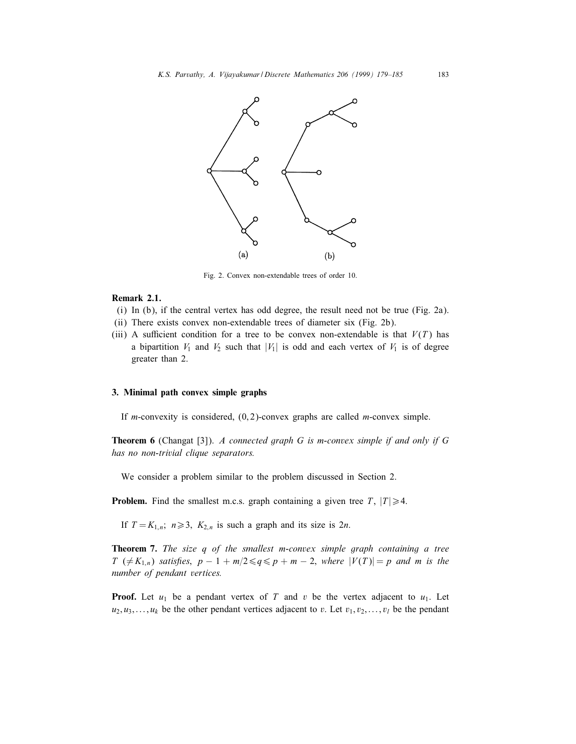

Fig. 2. Convex non-extendable trees of order 10.

#### Remark 2.1.

- (i) In (b), if the central vertex has odd degree, the result need not be true (Fig. 2a).
- (ii) There exists convex non-extendable trees of diameter six (Fig. 2b).
- (iii) A sufficient condition for a tree to be convex non-extendable is that  $V(T)$  has a bipartition  $V_1$  and  $V_2$  such that  $|V_1|$  is odd and each vertex of  $V_1$  is of degree greater than 2.

### 3. Minimal path convex simple graphs

If *m*-convexity is considered,  $(0, 2)$ -convex graphs are called *m*-convex simple.

**Theorem 6** (Changat [3]). A connected graph G is m-convex simple if and only if G has no non-trivial clique separators.

We consider a problem similar to the problem discussed in Section 2.

**Problem.** Find the smallest m.c.s. graph containing a given tree T,  $|T| \ge 4$ .

If  $T = K_{1,n}$ ;  $n \ge 3$ ,  $K_{2,n}$  is such a graph and its size is 2*n*.

**Theorem 7.** The size q of the smallest m-convex simple graph containing a tree  $T \neq K_{1,n}$  satisfies,  $p-1+m/2 \leq q \leq p+m-2$ , where  $|V(T)|=p$  and m is the number of pendant vertices.

**Proof.** Let  $u_1$  be a pendant vertex of T and v be the vertex adjacent to  $u_1$ . Let  $u_2, u_3, \ldots, u_k$  be the other pendant vertices adjacent to v. Let  $v_1, v_2, \ldots, v_l$  be the pendant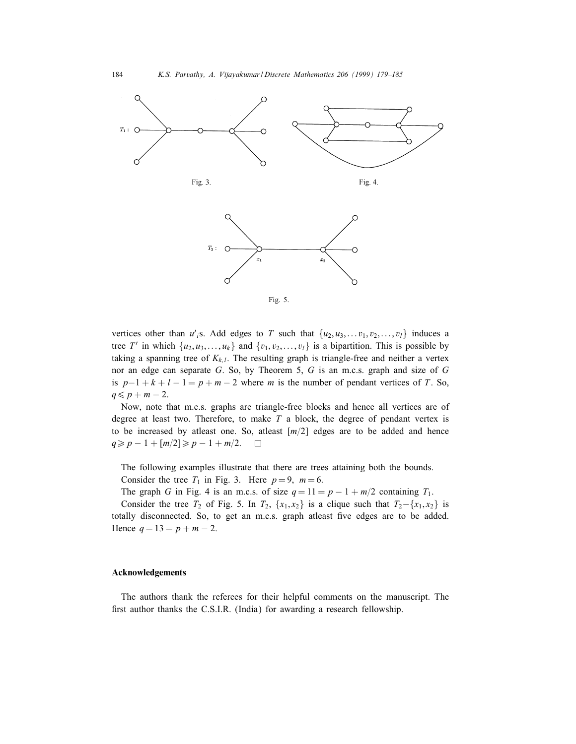

vertices other than  $u'_{i}$ s. Add edges to T such that  $\{u_2, u_3, \ldots, v_1, v_2, \ldots, v_l\}$  induces a tree T' in which  $\{u_2, u_3, \ldots, u_k\}$  and  $\{v_1, v_2, \ldots, v_l\}$  is a bipartition. This is possible by taking a spanning tree of  $K_{k,l}$ . The resulting graph is triangle-free and neither a vertex nor an edge can separate G. So, by Theorem 5, G is an m.c.s. graph and size of G is  $p-1+k+l-1 = p+m-2$  where m is the number of pendant vertices of T. So,  $q \leqslant p + m - 2$ .

Now, note that m.c.s. graphs are triangle-free blocks and hence all vertices are of degree at least two. Therefore, to make  $T$  a block, the degree of pendant vertex is to be increased by atleast one. So, atleast  $\lceil m/2 \rceil$  edges are to be added and hence  $q \geq p - 1 + \lceil m/2 \rceil \geq p - 1 + m/2.$  $\Box$ 

The following examples illustrate that there are trees attaining both the bounds.

Consider the tree  $T_1$  in Fig. 3. Here  $p=9$ ,  $m=6$ .

The graph G in Fig. 4 is an m.c.s. of size  $q = 11 = p - 1 + m/2$  containing  $T_1$ .

Consider the tree  $T_2$  of Fig. 5. In  $T_2$ ,  $\{x_1, x_2\}$  is a clique such that  $T_2-\{x_1, x_2\}$  is totally disconnected. So, to get an m.c.s. graph atleast five edges are to be added. Hence  $q = 13 = p + m - 2$ .

# Acknowledgements

The authors thank the referees for their helpful comments on the manuscript. The first author thanks the C.S.I.R. (India) for awarding a research fellowship.